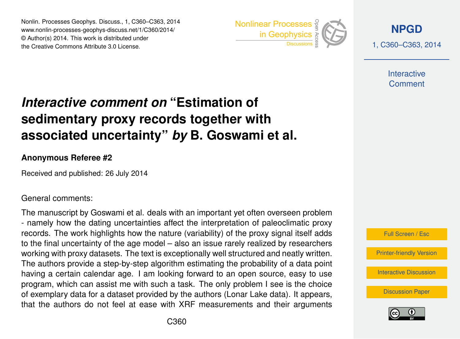Nonlin. Processes Geophys. Discuss., 1, C360–C363, 2014 www.nonlin-processes-geophys-discuss.net/1/C360/2014/ © Author(s) 2014. This work is distributed under Nonlin. Processes Geophys. Discuss., 1, C360–C363, 2014<br>
www.nonlin-processes-geophys-discuss.net/1/C360/2014/<br>
© Author(s) 2014. This work is distributed under<br>
the Creative Commons Attribute 3.0 License.



**[NPGD](http://www.nonlin-processes-geophys-discuss.net)**

1, C360–C363, 2014

**Interactive Comment** 

## *Interactive comment on* **"Estimation of sedimentary proxy records together with associated uncertainty"** *by* **B. Goswami et al.**

## **Anonymous Referee #2**

Received and published: 26 July 2014

General comments:

The manuscript by Goswami et al. deals with an important yet often overseen problem - namely how the dating uncertainties affect the interpretation of paleoclimatic proxy records. The work highlights how the nature (variability) of the proxy signal itself adds to the final uncertainty of the age model – also an issue rarely realized by researchers working with proxy datasets. The text is exceptionally well structured and neatly written. The authors provide a step-by-step algorithm estimating the probability of a data point having a certain calendar age. I am looking forward to an open source, easy to use program, which can assist me with such a task. The only problem I see is the choice of exemplary data for a dataset provided by the authors (Lonar Lake data). It appears, that the authors do not feel at ease with XRF measurements and their arguments



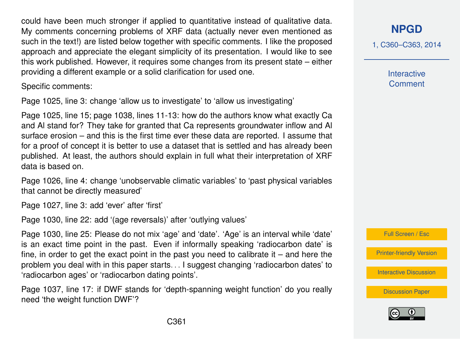could have been much stronger if applied to quantitative instead of qualitative data. My comments concerning problems of XRF data (actually never even mentioned as such in the text!) are listed below together with specific comments. I like the proposed approach and appreciate the elegant simplicity of its presentation. I would like to see this work published. However, it requires some changes from its present state – either providing a different example or a solid clarification for used one.

Specific comments:

Page 1025, line 3: change 'allow us to investigate' to 'allow us investigating'

Page 1025, line 15; page 1038, lines 11-13: how do the authors know what exactly Ca and Al stand for? They take for granted that Ca represents groundwater inflow and Al surface erosion – and this is the first time ever these data are reported. I assume that for a proof of concept it is better to use a dataset that is settled and has already been published. At least, the authors should explain in full what their interpretation of XRF data is based on.

Page 1026, line 4: change 'unobservable climatic variables' to 'past physical variables that cannot be directly measured'

Page 1027, line 3: add 'ever' after 'first'

Page 1030, line 22: add '(age reversals)' after 'outlying values'

Page 1030, line 25: Please do not mix 'age' and 'date'. 'Age' is an interval while 'date' is an exact time point in the past. Even if informally speaking 'radiocarbon date' is fine, in order to get the exact point in the past you need to calibrate it  $-$  and here the problem you deal with in this paper starts. . . I suggest changing 'radiocarbon dates' to 'radiocarbon ages' or 'radiocarbon dating points'.

Page 1037, line 17: if DWF stands for 'depth-spanning weight function' do you really need 'the weight function DWF'?

**[NPGD](http://www.nonlin-processes-geophys-discuss.net)**

1, C360–C363, 2014

**Interactive Comment** 



[Printer-friendly Version](http://www.nonlin-processes-geophys-discuss.net/1/C360/2014/npgd-1-C360-2014-print.pdf)

[Interactive Discussion](http://www.nonlin-processes-geophys-discuss.net/1/1023/2014/npgd-1-1023-2014-discussion.html)

[Discussion Paper](http://www.nonlin-processes-geophys-discuss.net/1/1023/2014/npgd-1-1023-2014.pdf)

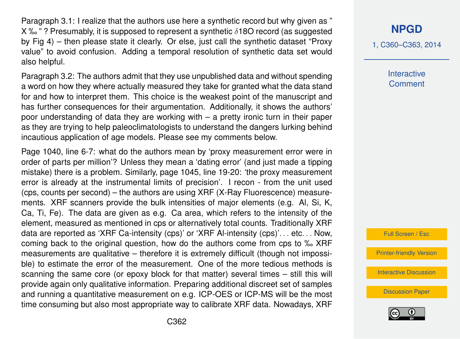Paragraph 3.1: I realize that the authors use here a synthetic record but why given as "  $X$ % $"$ ? Presumably, it is supposed to represent a synthetic  $\delta$ 180 record (as suggested by Fig 4) – then please state it clearly. Or else, just call the synthetic dataset "Proxy value" to avoid confusion. Adding a temporal resolution of synthetic data set would also helpful.

Paragraph 3.2: The authors admit that they use unpublished data and without spending a word on how they where actually measured they take for granted what the data stand for and how to interpret them. This choice is the weakest point of the manuscript and has further consequences for their argumentation. Additionally, it shows the authors' poor understanding of data they are working with – a pretty ironic turn in their paper as they are trying to help paleoclimatologists to understand the dangers lurking behind incautious application of age models. Please see my comments below.

Page 1040, line 6-7: what do the authors mean by 'proxy measurement error were in order of parts per million'? Unless they mean a 'dating error' (and just made a tipping mistake) there is a problem. Similarly, page 1045, line 19-20: 'the proxy measurement error is already at the instrumental limits of precision'. I recon - from the unit used (cps, counts per second) – the authors are using XRF (X-Ray Fluorescence) measurements. XRF scanners provide the bulk intensities of major elements (e.g. Al, Si, K, Ca, Ti, Fe). The data are given as e.g. Ca area, which refers to the intensity of the element, measured as mentioned in cps or alternatively total counts. Traditionally XRF data are reported as 'XRF Ca-intensity (cps)' or 'XRF Al-intensity (cps)'... etc... Now, coming back to the original question, how do the authors come from cps to ‰ XRF measurements are qualitative – therefore it is extremely difficult (though not impossible) to estimate the error of the measurement. One of the more tedious methods is scanning the same core (or epoxy block for that matter) several times – still this will provide again only qualitative information. Preparing additional discreet set of samples and running a quantitative measurement on e.g. ICP-OES or ICP-MS will be the most time consuming but also most appropriate way to calibrate XRF data. Nowadays, XRF

## **[NPGD](http://www.nonlin-processes-geophys-discuss.net)**

1, C360–C363, 2014

**Interactive Comment** 

Full Screen / Esc

[Printer-friendly Version](http://www.nonlin-processes-geophys-discuss.net/1/C360/2014/npgd-1-C360-2014-print.pdf)

[Interactive Discussion](http://www.nonlin-processes-geophys-discuss.net/1/1023/2014/npgd-1-1023-2014-discussion.html)

[Discussion Paper](http://www.nonlin-processes-geophys-discuss.net/1/1023/2014/npgd-1-1023-2014.pdf)